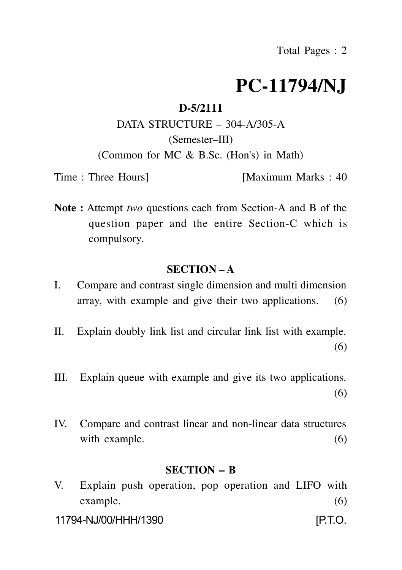# **PC-11794/NJ**

### **D-5/2111**

# DATA STRUCTURE – 304-A/305-A (Semester–III)

(Common for MC & B.Sc. (Hon's) in Math)

Time : Three Hours [Maximum Marks : 40]

**Note :** Attempt *two* questions each from Section-A and B of the question paper and the entire Section-C which is compulsory.

#### **SECTION – A**

- I. Compare and contrast single dimension and multi dimension array, with example and give their two applications. (6)
- II. Explain doubly link list and circular link list with example. (6)
- III. Explain queue with example and give its two applications. (6)
- IV. Compare and contrast linear and non-linear data structures with example. (6)

#### **SECTION – B**

V. Explain push operation, pop operation and LIFO with example. (6)

11794-NJ/00/HHH/1390 [P.T.O.